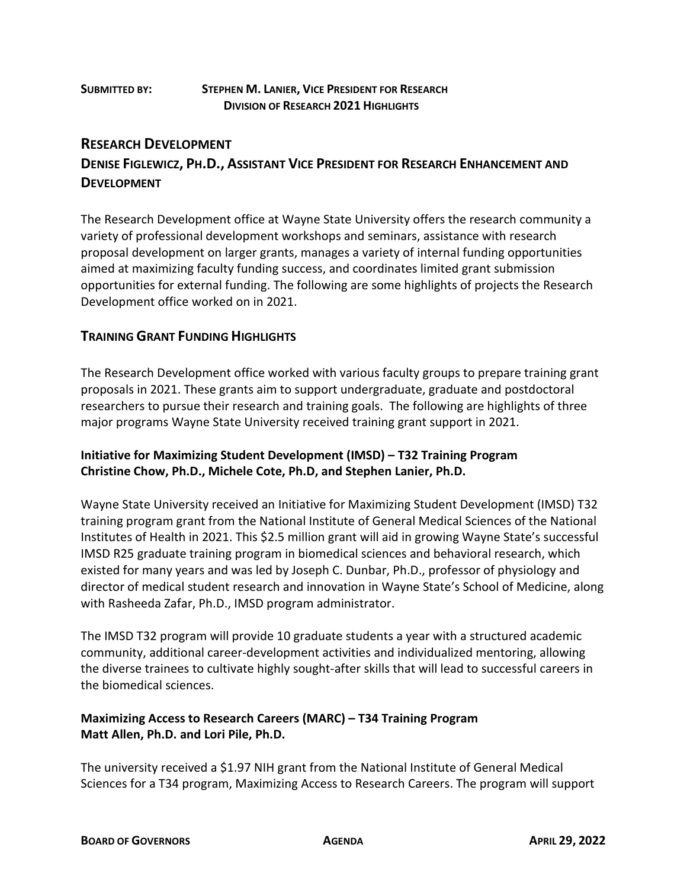#### **SUBMITTED BY: STEPHEN M. LANIER, VICE PRESIDENT FOR RESEARCH DIVISION OF RESEARCH 2021 HIGHLIGHTS**

## **RESEARCH DEVELOPMENT DENISE FIGLEWICZ, PH.D., ASSISTANT VICE PRESIDENT FOR RESEARCH ENHANCEMENT AND DEVELOPMENT**

The Research Development office at Wayne State University offers the research community a variety of professional development workshops and seminars, assistance with research proposal development on larger grants, manages a variety of internal funding opportunities aimed at maximizing faculty funding success, and coordinates limited grant submission opportunities for external funding. The following are some highlights of projects the Research Development office worked on in 2021.

### **TRAINING GRANT FUNDING HIGHLIGHTS**

The Research Development office worked with various faculty groups to prepare training grant proposals in 2021. These grants aim to support undergraduate, graduate and postdoctoral researchers to pursue their research and training goals. The following are highlights of three major programs Wayne State University received training grant support in 2021.

#### **Initiative for Maximizing Student Development (IMSD) – T32 Training Program Christine Chow, Ph.D., Michele Cote, Ph.D, and Stephen Lanier, Ph.D.**

Wayne State University received an Initiative for Maximizing Student Development (IMSD) T32 training program grant from the National Institute of General Medical Sciences of the National Institutes of Health in 2021. This \$2.5 million grant will aid in growing Wayne State's successful IMSD R25 graduate training program in biomedical sciences and behavioral research, which existed for many years and was led by Joseph C. Dunbar, Ph.D., professor of physiology and director of medical student research and innovation in Wayne State's School of Medicine, along with Rasheeda Zafar, Ph.D., IMSD program administrator.

The IMSD T32 program will provide 10 graduate students a year with a structured academic community, additional career-development activities and individualized mentoring, allowing the diverse trainees to cultivate highly sought-after skills that will lead to successful careers in the biomedical sciences.

#### **Maximizing Access to Research Careers (MARC) – T34 Training Program Matt Allen, Ph.D. and Lori Pile, Ph.D.**

The university received a \$1.97 NIH grant from the National Institute of General Medical Sciences for a T34 program, Maximizing Access to Research Careers. The program will support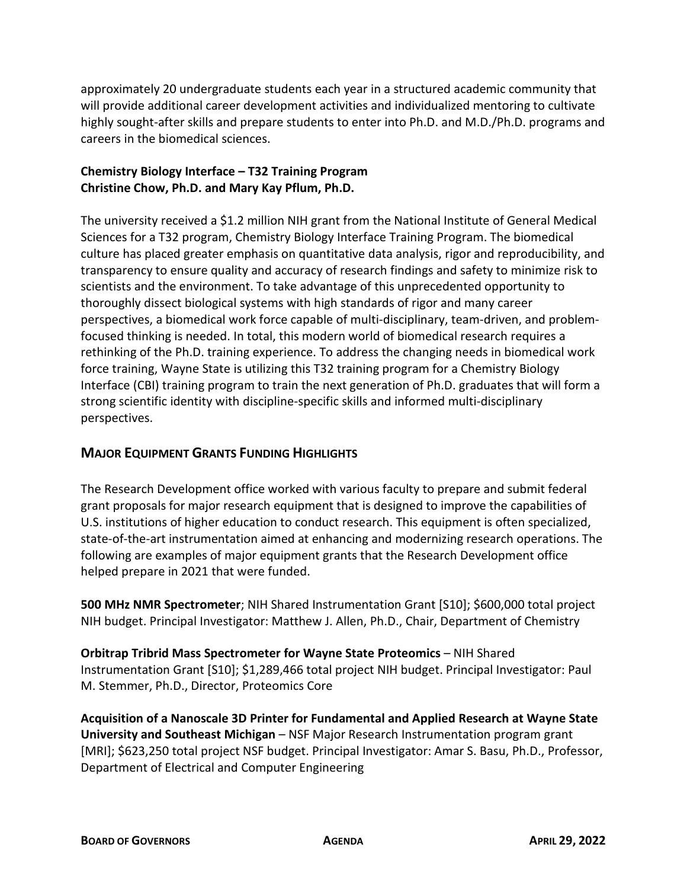approximately 20 undergraduate students each year in a structured academic community that will provide additional career development activities and individualized mentoring to cultivate highly sought-after skills and prepare students to enter into Ph.D. and M.D./Ph.D. programs and careers in the biomedical sciences.

#### **Chemistry Biology Interface – T32 Training Program Christine Chow, Ph.D. and Mary Kay Pflum, Ph.D.**

The university received a \$1.2 million NIH grant from the National Institute of General Medical Sciences for a T32 program, Chemistry Biology Interface Training Program. The biomedical culture has placed greater emphasis on quantitative data analysis, rigor and reproducibility, and transparency to ensure quality and accuracy of research findings and safety to minimize risk to scientists and the environment. To take advantage of this unprecedented opportunity to thoroughly dissect biological systems with high standards of rigor and many career perspectives, a biomedical work force capable of multi-disciplinary, team-driven, and problemfocused thinking is needed. In total, this modern world of biomedical research requires a rethinking of the Ph.D. training experience. To address the changing needs in biomedical work force training, Wayne State is utilizing this T32 training program for a Chemistry Biology Interface (CBI) training program to train the next generation of Ph.D. graduates that will form a strong scientific identity with discipline-specific skills and informed multi-disciplinary perspectives.

#### **MAJOR EQUIPMENT GRANTS FUNDING HIGHLIGHTS**

The Research Development office worked with various faculty to prepare and submit federal grant proposals for major research equipment that is designed to improve the capabilities of U.S. institutions of higher education to conduct research. This equipment is often specialized, state-of-the-art instrumentation aimed at enhancing and modernizing research operations. The following are examples of major equipment grants that the Research Development office helped prepare in 2021 that were funded.

**500 MHz NMR Spectrometer**; NIH Shared Instrumentation Grant [S10]; \$600,000 total project NIH budget. Principal Investigator: Matthew J. Allen, Ph.D., Chair, Department of Chemistry

**Orbitrap Tribrid Mass Spectrometer for Wayne State Proteomics** – NIH Shared Instrumentation Grant [S10]; \$1,289,466 total project NIH budget. Principal Investigator: Paul M. Stemmer, Ph.D., Director, Proteomics Core

**Acquisition of a Nanoscale 3D Printer for Fundamental and Applied Research at Wayne State University and Southeast Michigan** – NSF Major Research Instrumentation program grant [MRI]; \$623,250 total project NSF budget. Principal Investigator: Amar S. Basu, Ph.D., Professor, Department of Electrical and Computer Engineering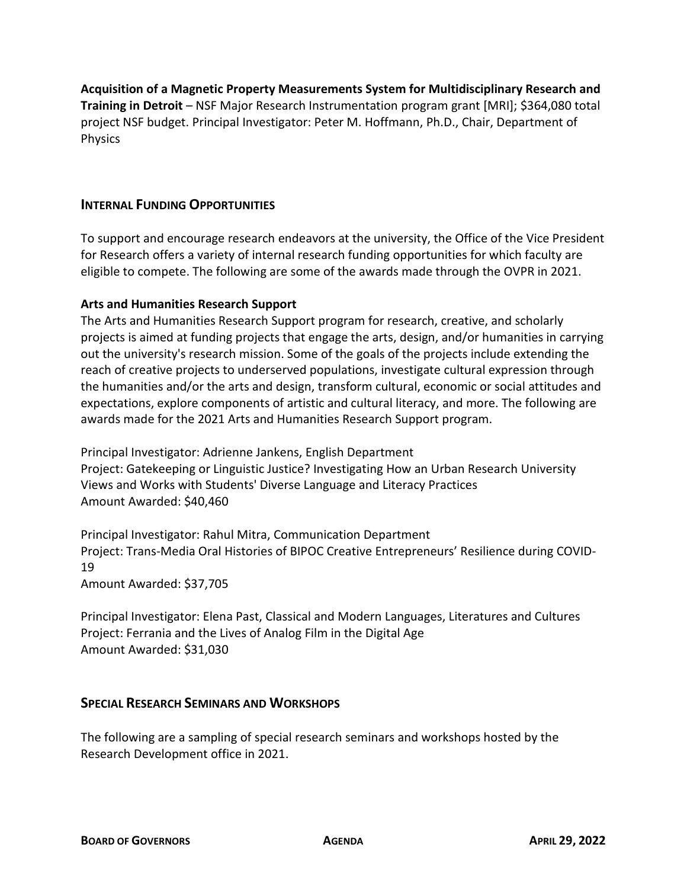**Acquisition of a Magnetic Property Measurements System for Multidisciplinary Research and Training in Detroit** – NSF Major Research Instrumentation program grant [MRI]; \$364,080 total project NSF budget. Principal Investigator: Peter M. Hoffmann, Ph.D., Chair, Department of Physics

#### **INTERNAL FUNDING OPPORTUNITIES**

To support and encourage research endeavors at the university, the Office of the Vice President for Research offers a variety of internal research funding opportunities for which faculty are eligible to compete. The following are some of the awards made through the OVPR in 2021.

#### **Arts and Humanities Research Support**

The Arts and Humanities Research Support program for research, creative, and scholarly projects is aimed at funding projects that engage the arts, design, and/or humanities in carrying out the university's research mission. Some of the goals of the projects include extending the reach of creative projects to underserved populations, investigate cultural expression through the humanities and/or the arts and design, transform cultural, economic or social attitudes and expectations, explore components of artistic and cultural literacy, and more. The following are awards made for the 2021 Arts and Humanities Research Support program.

Principal Investigator: Adrienne Jankens, English Department Project: Gatekeeping or Linguistic Justice? Investigating How an Urban Research University Views and Works with Students' Diverse Language and Literacy Practices Amount Awarded: \$40,460

Principal Investigator: Rahul Mitra, Communication Department Project: Trans-Media Oral Histories of BIPOC Creative Entrepreneurs' Resilience during COVID-19

Amount Awarded: \$37,705

Principal Investigator: Elena Past, Classical and Modern Languages, Literatures and Cultures Project: Ferrania and the Lives of Analog Film in the Digital Age Amount Awarded: \$31,030

#### **SPECIAL RESEARCH SEMINARS AND WORKSHOPS**

The following are a sampling of special research seminars and workshops hosted by the Research Development office in 2021.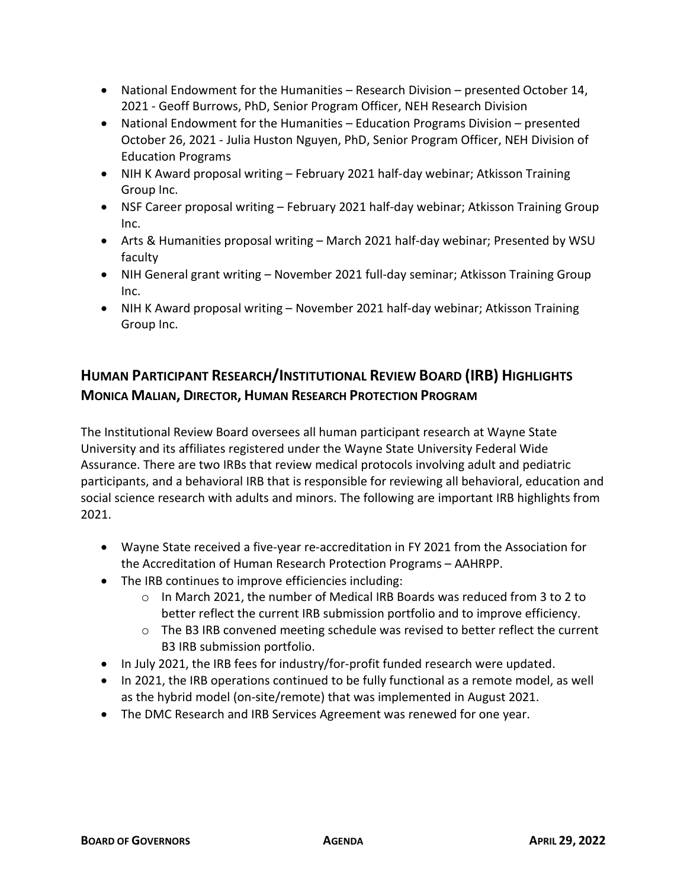- National Endowment for the Humanities Research Division presented October 14, 2021 - Geoff Burrows, PhD, Senior Program Officer, NEH Research Division
- National Endowment for the Humanities Education Programs Division presented October 26, 2021 - Julia Huston Nguyen, PhD, Senior Program Officer, NEH Division of Education Programs
- NIH K Award proposal writing February 2021 half-day webinar; Atkisson Training Group Inc.
- NSF Career proposal writing February 2021 half-day webinar; Atkisson Training Group Inc.
- Arts & Humanities proposal writing March 2021 half-day webinar; Presented by WSU faculty
- NIH General grant writing November 2021 full-day seminar; Atkisson Training Group Inc.
- NIH K Award proposal writing November 2021 half-day webinar; Atkisson Training Group Inc.

## **HUMAN PARTICIPANT RESEARCH/INSTITUTIONAL REVIEW BOARD (IRB) HIGHLIGHTS MONICA MALIAN, DIRECTOR, HUMAN RESEARCH PROTECTION PROGRAM**

The Institutional Review Board oversees all human participant research at Wayne State University and its affiliates registered under the Wayne State University Federal Wide Assurance. There are two IRBs that review medical protocols involving adult and pediatric participants, and a behavioral IRB that is responsible for reviewing all behavioral, education and social science research with adults and minors. The following are important IRB highlights from 2021.

- Wayne State received a five-year re-accreditation in FY 2021 from the Association for the Accreditation of Human Research Protection Programs – AAHRPP.
- The IRB continues to improve efficiencies including:
	- o In March 2021, the number of Medical IRB Boards was reduced from 3 to 2 to better reflect the current IRB submission portfolio and to improve efficiency.
	- $\circ$  The B3 IRB convened meeting schedule was revised to better reflect the current B3 IRB submission portfolio.
- In July 2021, the IRB fees for industry/for-profit funded research were updated.
- In 2021, the IRB operations continued to be fully functional as a remote model, as well as the hybrid model (on-site/remote) that was implemented in August 2021.
- The DMC Research and IRB Services Agreement was renewed for one year.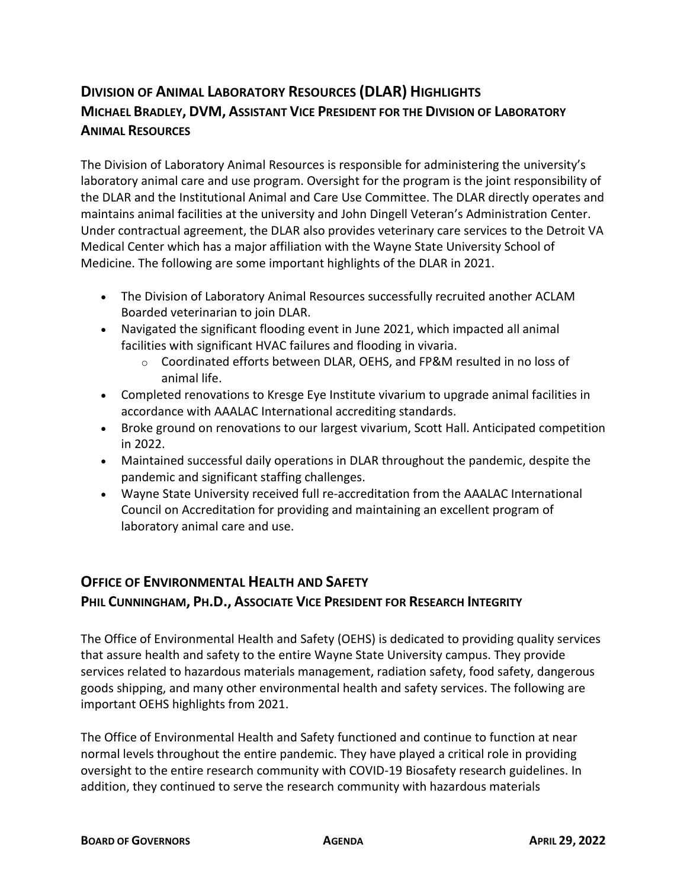## **DIVISION OF ANIMAL LABORATORY RESOURCES (DLAR) HIGHLIGHTS MICHAEL BRADLEY, DVM, ASSISTANT VICE PRESIDENT FOR THE DIVISION OF LABORATORY ANIMAL RESOURCES**

The Division of Laboratory Animal Resources is responsible for administering the university's laboratory animal care and use program. Oversight for the program is the joint responsibility of the DLAR and the Institutional Animal and Care Use Committee. The DLAR directly operates and maintains animal facilities at the university and John Dingell Veteran's Administration Center. Under contractual agreement, the DLAR also provides veterinary care services to the Detroit VA Medical Center which has a major affiliation with the Wayne State University School of Medicine. The following are some important highlights of the DLAR in 2021.

- The Division of Laboratory Animal Resources successfully recruited another ACLAM Boarded veterinarian to join DLAR.
- Navigated the significant flooding event in June 2021, which impacted all animal facilities with significant HVAC failures and flooding in vivaria.
	- o Coordinated efforts between DLAR, OEHS, and FP&M resulted in no loss of animal life.
- Completed renovations to Kresge Eye Institute vivarium to upgrade animal facilities in accordance with AAALAC International accrediting standards.
- Broke ground on renovations to our largest vivarium, Scott Hall. Anticipated competition in 2022.
- Maintained successful daily operations in DLAR throughout the pandemic, despite the pandemic and significant staffing challenges.
- Wayne State University received full re-accreditation from the AAALAC International Council on Accreditation for providing and maintaining an excellent program of laboratory animal care and use.

# **OFFICE OF ENVIRONMENTAL HEALTH AND SAFETY PHIL CUNNINGHAM, PH.D., ASSOCIATE VICE PRESIDENT FOR RESEARCH INTEGRITY**

The Office of Environmental Health and Safety (OEHS) is dedicated to providing quality services that assure health and safety to the entire Wayne State University campus. They provide services related to hazardous materials management, radiation safety, food safety, dangerous goods shipping, and many other environmental health and safety services. The following are important OEHS highlights from 2021.

The Office of Environmental Health and Safety functioned and continue to function at near normal levels throughout the entire pandemic. They have played a critical role in providing oversight to the entire research community with COVID-19 Biosafety research guidelines. In addition, they continued to serve the research community with hazardous materials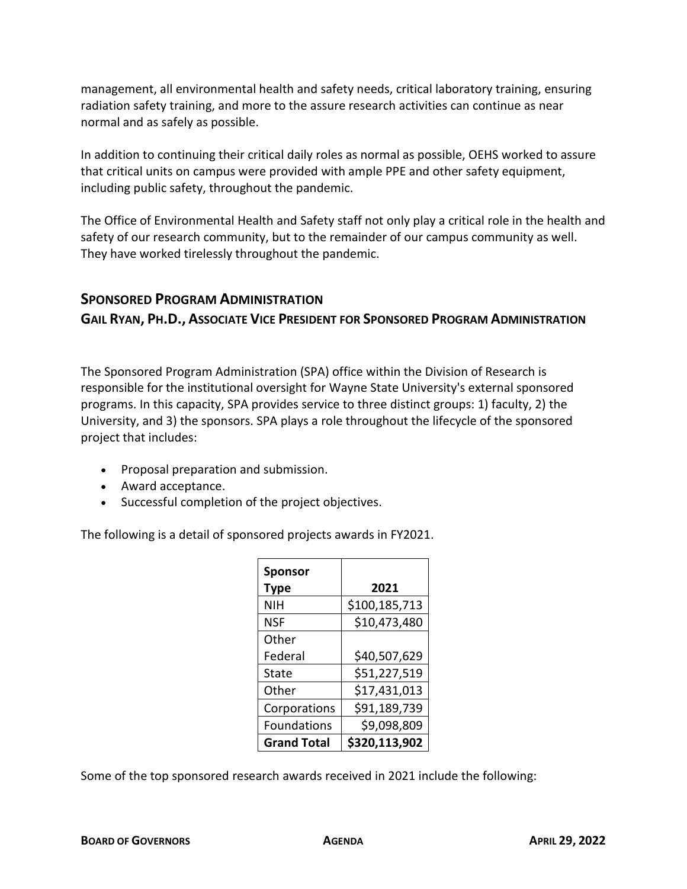management, all environmental health and safety needs, critical laboratory training, ensuring radiation safety training, and more to the assure research activities can continue as near normal and as safely as possible.

In addition to continuing their critical daily roles as normal as possible, OEHS worked to assure that critical units on campus were provided with ample PPE and other safety equipment, including public safety, throughout the pandemic.

The Office of Environmental Health and Safety staff not only play a critical role in the health and safety of our research community, but to the remainder of our campus community as well. They have worked tirelessly throughout the pandemic.

### **SPONSORED PROGRAM ADMINISTRATION**

**GAIL RYAN, PH.D., ASSOCIATE VICE PRESIDENT FOR SPONSORED PROGRAM ADMINISTRATION**

The Sponsored Program Administration (SPA) office within the Division of Research is responsible for the institutional oversight for Wayne State University's external sponsored programs. In this capacity, SPA provides service to three distinct groups: 1) faculty, 2) the University, and 3) the sponsors. SPA plays a role throughout the lifecycle of the sponsored project that includes:

- Proposal preparation and submission.
- Award acceptance.
- Successful completion of the project objectives.

The following is a detail of sponsored projects awards in FY2021.

| <b>Sponsor</b><br>Type | 2021          |
|------------------------|---------------|
| NIH                    | \$100,185,713 |
| <b>NSF</b>             | \$10,473,480  |
| Other                  |               |
| Federal                | \$40,507,629  |
| State                  | \$51,227,519  |
| Other                  | \$17,431,013  |
| Corporations           | \$91,189,739  |
| <b>Foundations</b>     | \$9,098,809   |
| <b>Grand Total</b>     | \$320,113,902 |

Some of the top sponsored research awards received in 2021 include the following: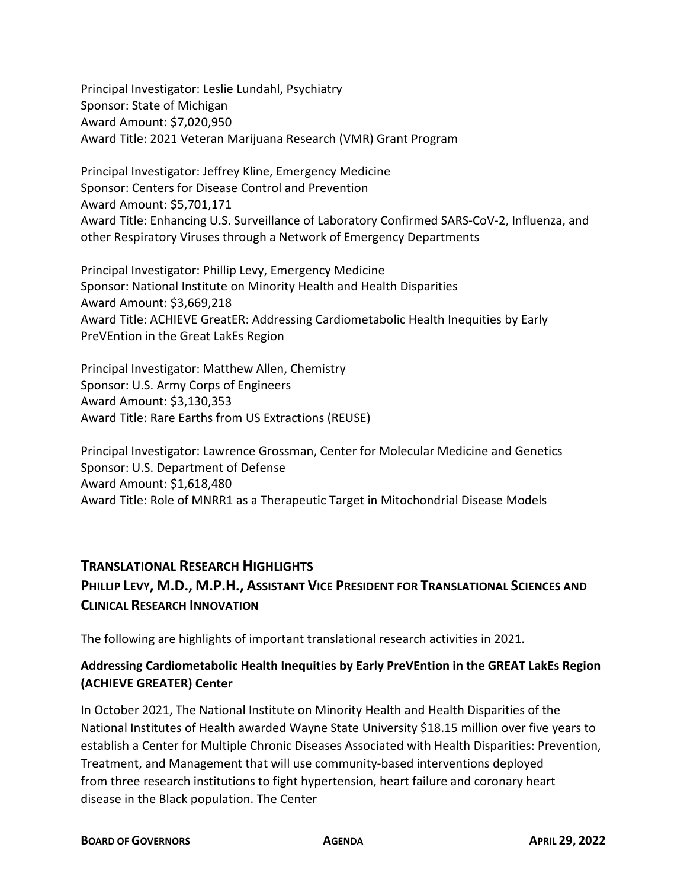Principal Investigator: Leslie Lundahl, Psychiatry Sponsor: State of Michigan Award Amount: \$7,020,950 Award Title: 2021 Veteran Marijuana Research (VMR) Grant Program

Principal Investigator: Jeffrey Kline, Emergency Medicine Sponsor: Centers for Disease Control and Prevention Award Amount: \$5,701,171 Award Title: Enhancing U.S. Surveillance of Laboratory Confirmed SARS-CoV-2, Influenza, and other Respiratory Viruses through a Network of Emergency Departments

Principal Investigator: Phillip Levy, Emergency Medicine Sponsor: National Institute on Minority Health and Health Disparities Award Amount: \$3,669,218 Award Title: ACHIEVE GreatER: Addressing Cardiometabolic Health Inequities by Early PreVEntion in the Great LakEs Region

Principal Investigator: Matthew Allen, Chemistry Sponsor: U.S. Army Corps of Engineers Award Amount: \$3,130,353 Award Title: Rare Earths from US Extractions (REUSE)

Principal Investigator: Lawrence Grossman, Center for Molecular Medicine and Genetics Sponsor: U.S. Department of Defense Award Amount: \$1,618,480 Award Title: Role of MNRR1 as a Therapeutic Target in Mitochondrial Disease Models

### **TRANSLATIONAL RESEARCH HIGHLIGHTS**

## **PHILLIP LEVY, M.D., M.P.H., ASSISTANT VICE PRESIDENT FOR TRANSLATIONAL SCIENCES AND CLINICAL RESEARCH INNOVATION**

The following are highlights of important translational research activities in 2021.

### **Addressing Cardiometabolic Health Inequities by Early PreVEntion in the GREAT LakEs Region (ACHIEVE GREATER) Center**

In October 2021, The National Institute on Minority Health and Health Disparities of the National Institutes of Health awarded Wayne State University \$18.15 million over five years to establish a Center for Multiple Chronic Diseases Associated with Health Disparities: Prevention, Treatment, and Management that will use community-based interventions deployed from three research institutions to fight hypertension, heart failure and coronary heart disease in the Black population. The Center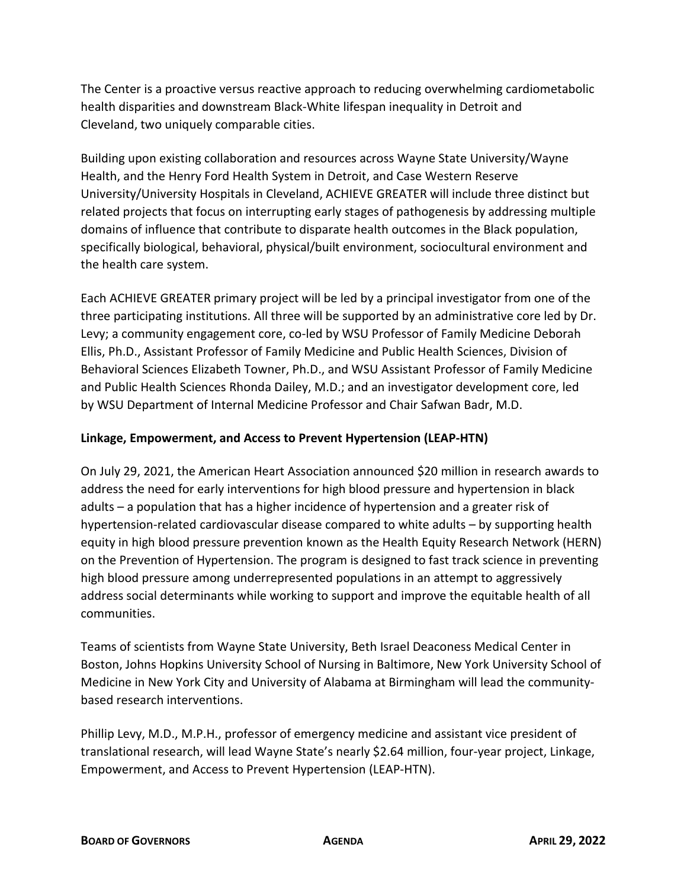The Center is a proactive versus reactive approach to reducing overwhelming cardiometabolic health disparities and downstream Black-White lifespan inequality in Detroit and Cleveland, two uniquely comparable cities.

Building upon existing collaboration and resources across Wayne State University/Wayne Health, and the Henry Ford Health System in Detroit, and Case Western Reserve University/University Hospitals in Cleveland, ACHIEVE GREATER will include three distinct but related projects that focus on interrupting early stages of pathogenesis by addressing multiple domains of influence that contribute to disparate health outcomes in the Black population, specifically biological, behavioral, physical/built environment, sociocultural environment and the health care system.

Each ACHIEVE GREATER primary project will be led by a principal investigator from one of the three participating institutions. All three will be supported by an administrative core led by Dr. Levy; a community engagement core, co-led by WSU Professor of Family Medicine Deborah Ellis, Ph.D., Assistant Professor of Family Medicine and Public Health Sciences, Division of Behavioral Sciences Elizabeth Towner, Ph.D., and WSU Assistant Professor of Family Medicine and Public Health Sciences Rhonda Dailey, M.D.; and an investigator development core, led by WSU Department of Internal Medicine Professor and Chair Safwan Badr, M.D.

#### **Linkage, Empowerment, and Access to Prevent Hypertension (LEAP-HTN)**

On July 29, 2021, the American Heart Association announced \$20 million in research awards to address the need for early interventions for high blood pressure and hypertension in black adults – a population that has a higher incidence of hypertension and a greater risk of hypertension-related cardiovascular disease compared to white adults – by supporting health equity in high blood pressure prevention known as the Health Equity Research Network (HERN) on the Prevention of Hypertension. The program is designed to fast track science in preventing high blood pressure among underrepresented populations in an attempt to aggressively address social determinants while working to support and improve the equitable health of all communities.

Teams of scientists from Wayne State University, Beth Israel Deaconess Medical Center in Boston, Johns Hopkins University School of Nursing in Baltimore, New York University School of Medicine in New York City and University of Alabama at Birmingham will lead the communitybased research interventions.

Phillip Levy, M.D., M.P.H., professor of emergency medicine and assistant vice president of translational research, will lead Wayne State's nearly \$2.64 million, four-year project, Linkage, Empowerment, and Access to Prevent Hypertension (LEAP-HTN).